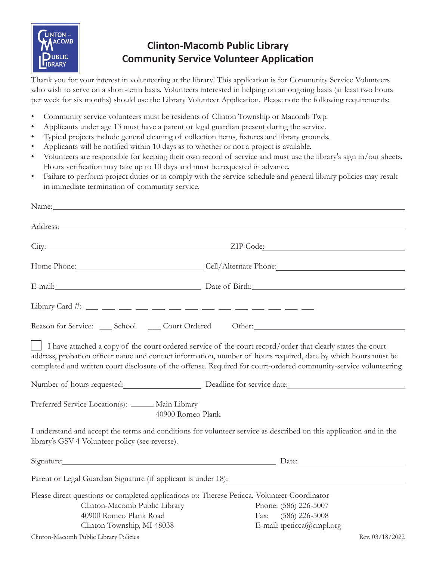

## **Clinton-Macomb Public Library Community Service Volunteer Application**

Thank you for your interest in volunteering at the library! This application is for Community Service Volunteers who wish to serve on a short-term basis. Volunteers interested in helping on an ongoing basis (at least two hours per week for six months) should use the Library Volunteer Application. Please note the following requirements:

- Community service volunteers must be residents of Clinton Township or Macomb Twp.
- Applicants under age 13 must have a parent or legal guardian present during the service.
- Typical projects include general cleaning of collection items, fixtures and library grounds.
- Applicants will be notified within 10 days as to whether or not a project is available.
- Volunteers are responsible for keeping their own record of service and must use the library's sign in/out sheets. Hours verification may take up to 10 days and must be requested in advance.
- Failure to perform project duties or to comply with the service schedule and general library policies may result in immediate termination of community service.

|                                                                                                                                                                                       | Home Phone: Cell/Alternate Phone: Cell/Alternate Phone:                                                                                                                                                                                                                                                                                            |
|---------------------------------------------------------------------------------------------------------------------------------------------------------------------------------------|----------------------------------------------------------------------------------------------------------------------------------------------------------------------------------------------------------------------------------------------------------------------------------------------------------------------------------------------------|
|                                                                                                                                                                                       | E-mail: Date of Birth: Date of Birth:                                                                                                                                                                                                                                                                                                              |
|                                                                                                                                                                                       |                                                                                                                                                                                                                                                                                                                                                    |
| Reason for Service: ___ School ____ Court Ordered Other: ________________________                                                                                                     |                                                                                                                                                                                                                                                                                                                                                    |
|                                                                                                                                                                                       | I have attached a copy of the court ordered service of the court record/order that clearly states the court<br>address, probation officer name and contact information, number of hours required, date by which hours must be<br>completed and written court disclosure of the offense. Required for court-ordered community-service volunteering. |
|                                                                                                                                                                                       | Number of hours requested: Deadline for service date:                                                                                                                                                                                                                                                                                              |
| Preferred Service Location(s): _____ Main Library<br>40900 Romeo Plank                                                                                                                |                                                                                                                                                                                                                                                                                                                                                    |
| library's GSV-4 Volunteer policy (see reverse).                                                                                                                                       | I understand and accept the terms and conditions for volunteer service as described on this application and in the                                                                                                                                                                                                                                 |
|                                                                                                                                                                                       | Signature: Date: Date:                                                                                                                                                                                                                                                                                                                             |
|                                                                                                                                                                                       | Parent or Legal Guardian Signature (if applicant is under 18):                                                                                                                                                                                                                                                                                     |
| Please direct questions or completed applications to: Therese Peticca, Volunteer Coordinator<br>Clinton-Macomb Public Library<br>40900 Romeo Plank Road<br>Clinton Township, MI 48038 | Phone: (586) 226-5007<br>Fax: (586) 226-5008<br>E-mail: tpeticca@cmpl.org                                                                                                                                                                                                                                                                          |
| Clinton-Macomb Public Library Policies                                                                                                                                                | Rev. 03/18/2022                                                                                                                                                                                                                                                                                                                                    |